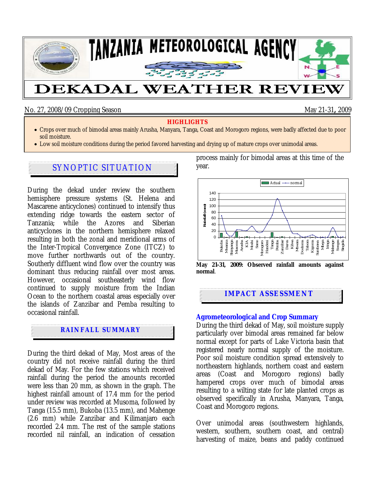

## No. 27, 2008/09 Cropping Season May 21-31**,** 2009

#### **HIGHLIGHTS**

- Crops over much of bimodal areas mainly Arusha, Manyara, Tanga, Coast and Morogoro regions, were badly affected due to poor soil moisture.
- Low soil moisture conditions during the period favored harvesting and drying up of mature crops over unimodal areas.

# SYNOPTIC SITUATION

During the dekad under review the southern hemisphere pressure systems (St. Helena and Mascarene anticyclones) continued to intensify thus extending ridge towards the eastern sector of Tanzania; while the Azores and Siberian anticyclones in the northern hemisphere relaxed resulting in both the zonal and meridional arms of the Inter-Tropical Convergence Zone (ITCZ) to move further northwards out of the country. Southerly diffluent wind flow over the country was dominant thus reducing rainfall over most areas. However, occasional southeasterly wind flow continued to supply moisture from the Indian Ocean to the northern coastal areas especially over the islands of Zanzibar and Pemba resulting to occasional rainfall.

# **RAINFALL SUMMARY**

During the third dekad of May, Most areas of the country did not receive rainfall during the third dekad of May. For the few stations which received rainfall during the period the amounts recorded were less than 20 mm, as shown in the graph. The highest rainfall amount of 17.4 mm for the period under review was recorded at Musoma, followed by Tanga (15.5 mm), Bukoba (13.5 mm), and Mahenge (2.6 mm) while Zanzibar and Kilimanjaro each recorded 2.4 mm. The rest of the sample stations recorded nil rainfall, an indication of cessation process mainly for bimodal areas at this time of the year.



**May 21-31, 2009: Observed rainfall amounts against normal**.

## **IMPACT ASSESSMENT**

#### **Agrometeorological and Crop Summary**

During the third dekad of May, soil moisture supply particularly over bimodal areas remained far below normal except for parts of Lake Victoria basin that registered nearly normal supply of the moisture. Poor soil moisture condition spread extensively to northeastern highlands, northern coast and eastern areas (Coast and Morogoro regions) badly hampered crops over much of bimodal areas resulting to a wilting state for late planted crops as observed specifically in Arusha, Manyara, Tanga, Coast and Morogoro regions.

Over unimodal areas (southwestern highlands, western, southern, southern coast, and central) harvesting of maize, beans and paddy continued